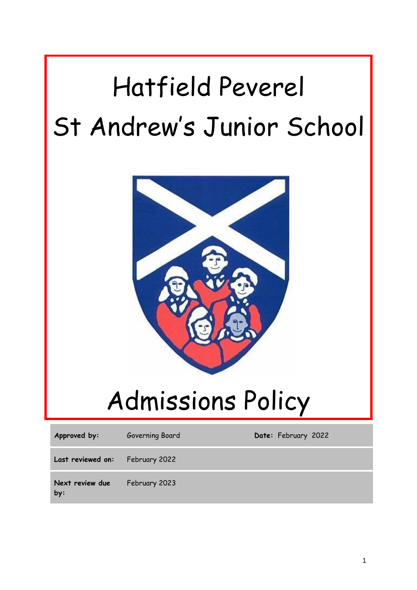# Hatfield Peverel St Andrew's Junior School



# Admissions Policy

| Approved by:                    | Governing Board | Date: February 2022 |
|---------------------------------|-----------------|---------------------|
| Last reviewed on: February 2022 |                 |                     |
| Next review due<br>by:          | February 2023   |                     |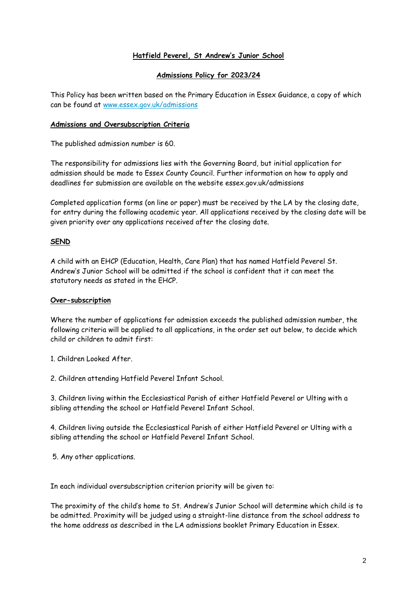# **Hatfield Peverel, St Andrew's Junior School**

### **Admissions Policy for 2023/24**

This Policy has been written based on the Primary Education in Essex Guidance, a copy of which can be found at [www.essex.gov.uk/admissions](http://www.essex.gov.uk/admissions)

### **Admissions and Oversubscription Criteria**

The published admission number is 60.

The responsibility for admissions lies with the Governing Board, but initial application for admission should be made to Essex County Council. Further information on how to apply and deadlines for submission are available on the website essex.gov.uk/admissions

Completed application forms (on line or paper) must be received by the LA by the closing date, for entry during the following academic year. All applications received by the closing date will be given priority over any applications received after the closing date.

# **SEND**

A child with an EHCP (Education, Health, Care Plan) that has named Hatfield Peverel St. Andrew's Junior School will be admitted if the school is confident that it can meet the statutory needs as stated in the EHCP.

# **Over-subscription**

Where the number of applications for admission exceeds the published admission number, the following criteria will be applied to all applications, in the order set out below, to decide which child or children to admit first:

1. Children Looked After.

2. Children attending Hatfield Peverel Infant School.

3. Children living within the Ecclesiastical Parish of either Hatfield Peverel or Ulting with a sibling attending the school or Hatfield Peverel Infant School.

4. Children living outside the Ecclesiastical Parish of either Hatfield Peverel or Ulting with a sibling attending the school or Hatfield Peverel Infant School.

5. Any other applications.

In each individual oversubscription criterion priority will be given to:

The proximity of the child's home to St. Andrew's Junior School will determine which child is to be admitted. Proximity will be judged using a straight-line distance from the school address to the home address as described in the LA admissions booklet Primary Education in Essex.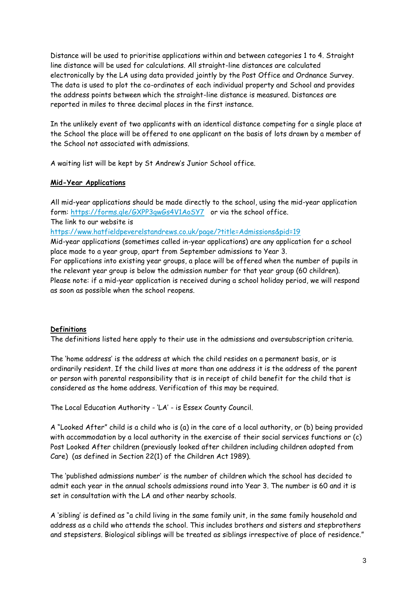Distance will be used to prioritise applications within and between categories 1 to 4. Straight line distance will be used for calculations. All straight-line distances are calculated electronically by the LA using data provided jointly by the Post Office and Ordnance Survey. The data is used to plot the co-ordinates of each individual property and School and provides the address points between which the straight-line distance is measured. Distances are reported in miles to three decimal places in the first instance.

In the unlikely event of two applicants with an identical distance competing for a single place at the School the place will be offered to one applicant on the basis of lots drawn by a member of the School not associated with admissions.

A waiting list will be kept by St Andrew's Junior School office.

# **Mid-Year Applications**

All mid-year applications should be made directly to the school, using the mid-year application form: <https://forms.gle/GXPP3gwGs4V1AoSY7>or via the school office. The link to our website is

<https://www.hatfieldpeverelstandrews.co.uk/page/?title=Admissions&pid=19>

Mid-year applications (sometimes called in-year applications) are any application for a school place made to a year group, apart from September admissions to Year 3.

For applications into existing year groups, a place will be offered when the number of pupils in the relevant year group is below the admission number for that year group (60 children). Please note: if a mid-year application is received during a school holiday period, we will respond as soon as possible when the school reopens.

# **Definitions**

The definitions listed here apply to their use in the admissions and oversubscription criteria.

The 'home address' is the address at which the child resides on a permanent basis, or is ordinarily resident. If the child lives at more than one address it is the address of the parent or person with parental responsibility that is in receipt of child benefit for the child that is considered as the home address. Verification of this may be required.

The Local Education Authority - 'LA' - is Essex County Council.

A "Looked After" child is a child who is (a) in the care of a local authority, or (b) being provided with accommodation by a local authority in the exercise of their social services functions or (c) Post Looked After children (previously looked after children including children adopted from Care) (as defined in Section 22(1) of the Children Act 1989).

The 'published admissions number' is the number of children which the school has decided to admit each year in the annual schools admissions round into Year 3. The number is 60 and it is set in consultation with the LA and other nearby schools.

A 'sibling' is defined as "a child living in the same family unit, in the same family household and address as a child who attends the school. This includes brothers and sisters and stepbrothers and stepsisters. Biological siblings will be treated as siblings irrespective of place of residence."